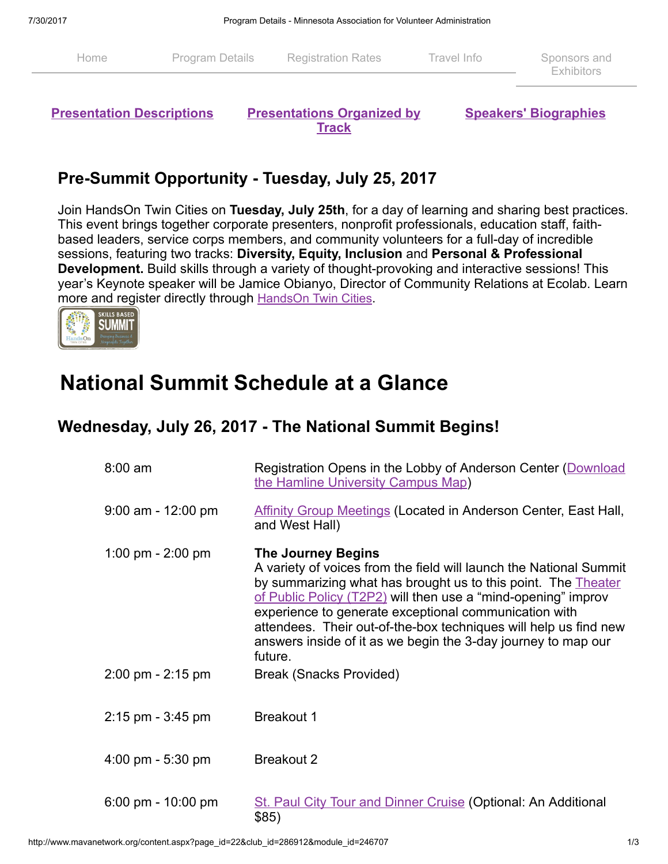| Home | <b>Program Details</b> Registration Rates | Travel Info | Sponsors and<br><b>Exhibitors</b> |
|------|-------------------------------------------|-------------|-----------------------------------|
|      |                                           |             |                                   |

**Presentation [Descriptions](http://www.mavanetwork.org/content.aspx?page_id=22&club_id=286912&module_id=247223) [Presentations](http://www.mavanetwork.org/content.aspx?page_id=22&club_id=286912&module_id=249506) Organized by Track** 

Speakers' [Biographies](http://www.mavanetwork.org/content.aspx?page_id=22&club_id=286912&module_id=247224)

#### Pre-Summit Opportunity - Tuesday, July 25, 2017

Join HandsOn Twin Cities on Tuesday, July 25th, for a day of learning and sharing best practices. This event brings together corporate presenters, nonprofit professionals, education staff, faithbased leaders, service corps members, and community volunteers for a full-day of incredible sessions, featuring two tracks: Diversity, Equity, Inclusion and Personal & Professional Development. Build skills through a variety of thought-provoking and interactive sessions! This year's Keynote speaker will be Jamice Obianyo, Director of Community Relations at Ecolab. Learn more and register directly through [HandsOn](http://www.handsontwincities.org/event/detail/?event_id=34425) Twin [Cities](http://www.handsontwincities.org/event/detail/?event_id=34425).



# National Summit Schedule at a Glance

#### Wednesday, July 26, 2017 - The National Summit Begins!

| $8:00$ am                            | Registration Opens in the Lobby of Anderson Center (Download<br>the Hamline University Campus Map)                                                                                                                                                                                                                                                                                                                                         |
|--------------------------------------|--------------------------------------------------------------------------------------------------------------------------------------------------------------------------------------------------------------------------------------------------------------------------------------------------------------------------------------------------------------------------------------------------------------------------------------------|
| $9:00$ am - 12:00 pm                 | <b>Affinity Group Meetings (Located in Anderson Center, East Hall,</b><br>and West Hall)                                                                                                                                                                                                                                                                                                                                                   |
| 1:00 pm - $2:00$ pm                  | <b>The Journey Begins</b><br>A variety of voices from the field will launch the National Summit<br>by summarizing what has brought us to this point. The Theater<br>of Public Policy (T2P2) will then use a "mind-opening" improv<br>experience to generate exceptional communication with<br>attendees. Their out-of-the-box techniques will help us find new<br>answers inside of it as we begin the 3-day journey to map our<br>future. |
| $2:00 \text{ pm} - 2:15 \text{ pm}$  | <b>Break (Snacks Provided)</b>                                                                                                                                                                                                                                                                                                                                                                                                             |
| $2:15$ pm - $3:45$ pm                | <b>Breakout 1</b>                                                                                                                                                                                                                                                                                                                                                                                                                          |
| $4:00 \text{ pm} - 5:30 \text{ pm}$  | <b>Breakout 2</b>                                                                                                                                                                                                                                                                                                                                                                                                                          |
| $6:00 \text{ pm} - 10:00 \text{ pm}$ | <b>St. Paul City Tour and Dinner Cruise (Optional: An Additional</b><br>\$85)                                                                                                                                                                                                                                                                                                                                                              |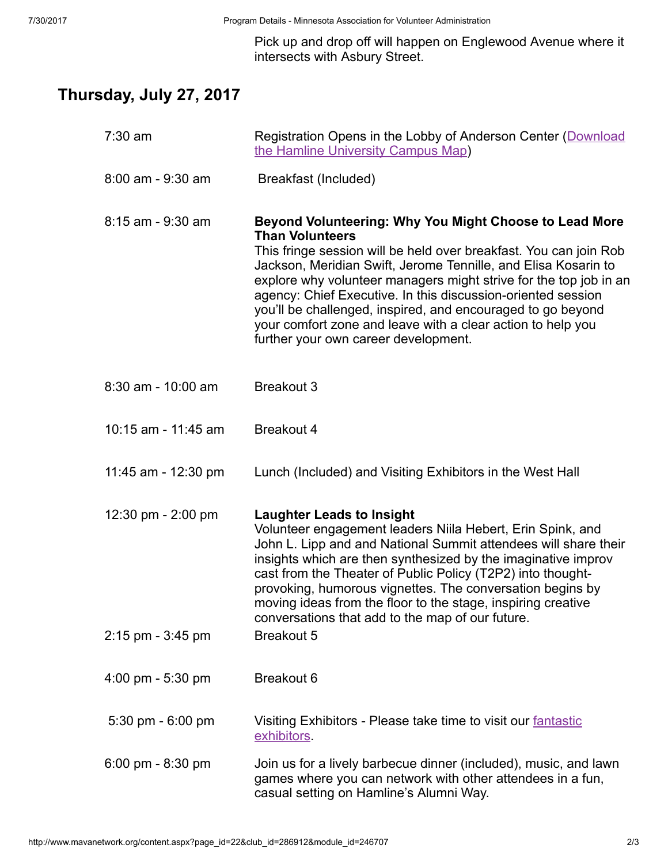Pick up and drop off will happen on Englewood Avenue where it intersects with Asbury Street.

### Thursday, July 27, 2017

| $7:30$ am             | Registration Opens in the Lobby of Anderson Center (Download<br>the Hamline University Campus Map)                                                                                                                                                                                                                                                                                                                                                                                                                                 |
|-----------------------|------------------------------------------------------------------------------------------------------------------------------------------------------------------------------------------------------------------------------------------------------------------------------------------------------------------------------------------------------------------------------------------------------------------------------------------------------------------------------------------------------------------------------------|
| 8:00 am - 9:30 am     | Breakfast (Included)                                                                                                                                                                                                                                                                                                                                                                                                                                                                                                               |
| 8:15 am - 9:30 am     | Beyond Volunteering: Why You Might Choose to Lead More<br><b>Than Volunteers</b><br>This fringe session will be held over breakfast. You can join Rob<br>Jackson, Meridian Swift, Jerome Tennille, and Elisa Kosarin to<br>explore why volunteer managers might strive for the top job in an<br>agency: Chief Executive. In this discussion-oriented session<br>you'll be challenged, inspired, and encouraged to go beyond<br>your comfort zone and leave with a clear action to help you<br>further your own career development. |
| 8:30 am - 10:00 am    | <b>Breakout 3</b>                                                                                                                                                                                                                                                                                                                                                                                                                                                                                                                  |
| 10:15 am - 11:45 am   | <b>Breakout 4</b>                                                                                                                                                                                                                                                                                                                                                                                                                                                                                                                  |
| 11:45 am - 12:30 pm   | Lunch (Included) and Visiting Exhibitors in the West Hall                                                                                                                                                                                                                                                                                                                                                                                                                                                                          |
| 12:30 pm - 2:00 pm    | <b>Laughter Leads to Insight</b><br>Volunteer engagement leaders Niila Hebert, Erin Spink, and<br>John L. Lipp and and National Summit attendees will share their<br>insights which are then synthesized by the imaginative improv<br>cast from the Theater of Public Policy (T2P2) into thought-<br>provoking, humorous vignettes. The conversation begins by<br>moving ideas from the floor to the stage, inspiring creative<br>conversations that add to the map of our future.                                                 |
| $2:15$ pm - $3:45$ pm | <b>Breakout 5</b>                                                                                                                                                                                                                                                                                                                                                                                                                                                                                                                  |
| 4:00 pm - 5:30 pm     | Breakout 6                                                                                                                                                                                                                                                                                                                                                                                                                                                                                                                         |
| 5:30 pm - 6:00 pm     | Visiting Exhibitors - Please take time to visit our fantastic<br><b>exhibitors</b>                                                                                                                                                                                                                                                                                                                                                                                                                                                 |
| 6:00 pm - 8:30 pm     | Join us for a lively barbecue dinner (included), music, and lawn<br>games where you can network with other attendees in a fun,<br>casual setting on Hamline's Alumni Way.                                                                                                                                                                                                                                                                                                                                                          |